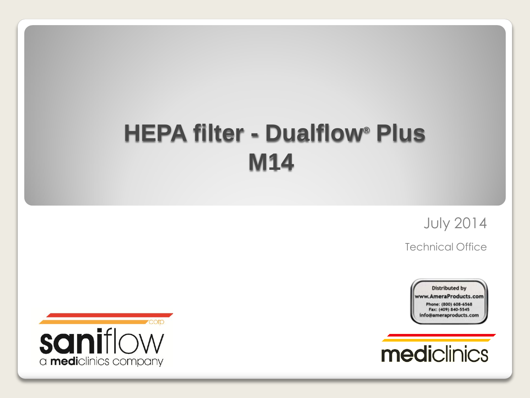# **HEPA filter - Dualflow® Plus M14**

July 2014

Technical Office





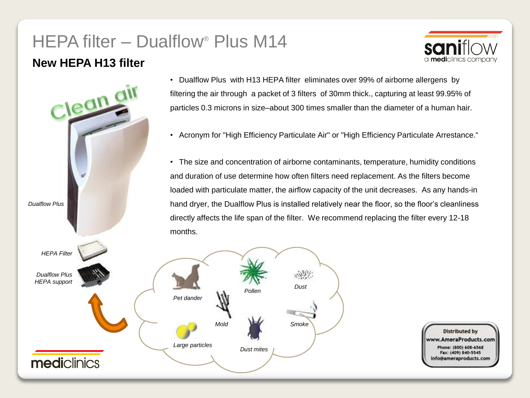## HEPA filter – Dualflow® Plus M14

#### **New HEPA H13 filter**





- Dualflow Plus with H13 HEPA filter eliminates over 99% of airborne allergens by filtering the air through a packet of 3 filters of 30mm thick., capturing at least 99.95% of particles 0.3 microns in size–about 300 times smaller than the diameter of a human hair.
- Acronym for "High Efficiency Particulate Air" or "High Efficiency Particulate Arrestance."
- The size and concentration of airborne contaminants, temperature, humidity conditions and duration of use determine how often filters need replacement. As the filters become loaded with particulate matter, the airflow capacity of the unit decreases. As any hands-in hand dryer, the Dualflow Plus is installed relatively near the floor, so the floor's cleanliness directly affects the life span of the filter. We recommend replacing the filter every 12-18

*Dust mites*

*Pollen*

*Smoke*

*Dust*

**Distributed by** AmeraProducts.com Phone: (800) 608-6568 Fax: (409) 840-5545 nfo@ameraproducts.com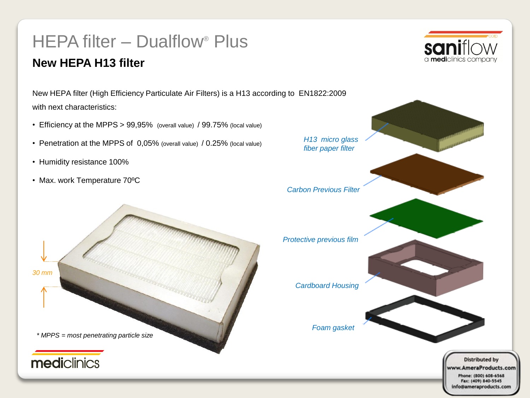### New HEPA filter (High Efficiency Particulate Air Filters) is a H13 according to EN1822:2009 with next characteristics: • Efficiency at the MPPS > 99,95% (overall value) / 99.75% (local value) *H13 micro glass*  • Penetration at the MPPS of 0,05% (overall value) / 0.25% (local value) *fiber paper filter* • Humidity resistance 100% • Max. work Temperature 70ºC *Carbon Previous Filter Protective previous film 30 mmCardboard Housing Foam gasket \* MPPS = most penetrating particle size* mediclinics **Distributed by** www.AmeraProducts.com Phone: (800) 608-6568 Fax: (409) 840-5545 info@ameraproducts.com

# **New HEPA H13 filter**

HEPA filter – Dualflow® Plus